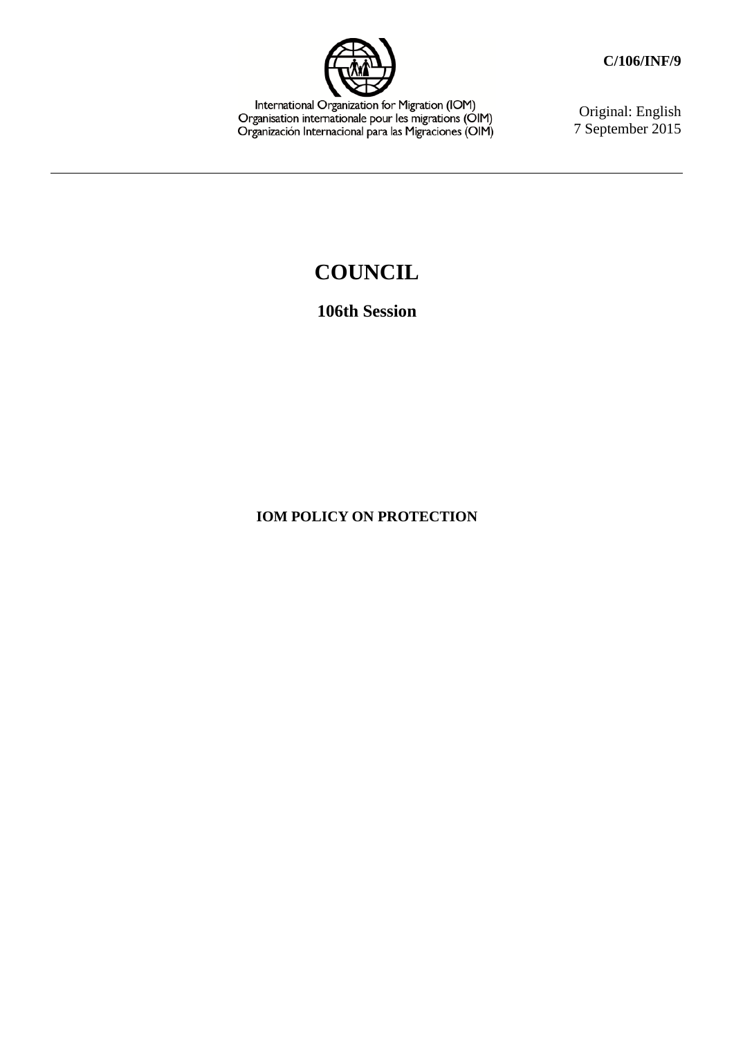

International Organization for Migration (IOM)<br>Organisation internationale pour les migrations (OIM)<br>Organización Internacional para las Migraciones (OIM)

Original: English 7 September 2015

# **COUNCIL**

## **106th Session**

### **IOM POLICY ON PROTECTION**

**C/106/INF/9**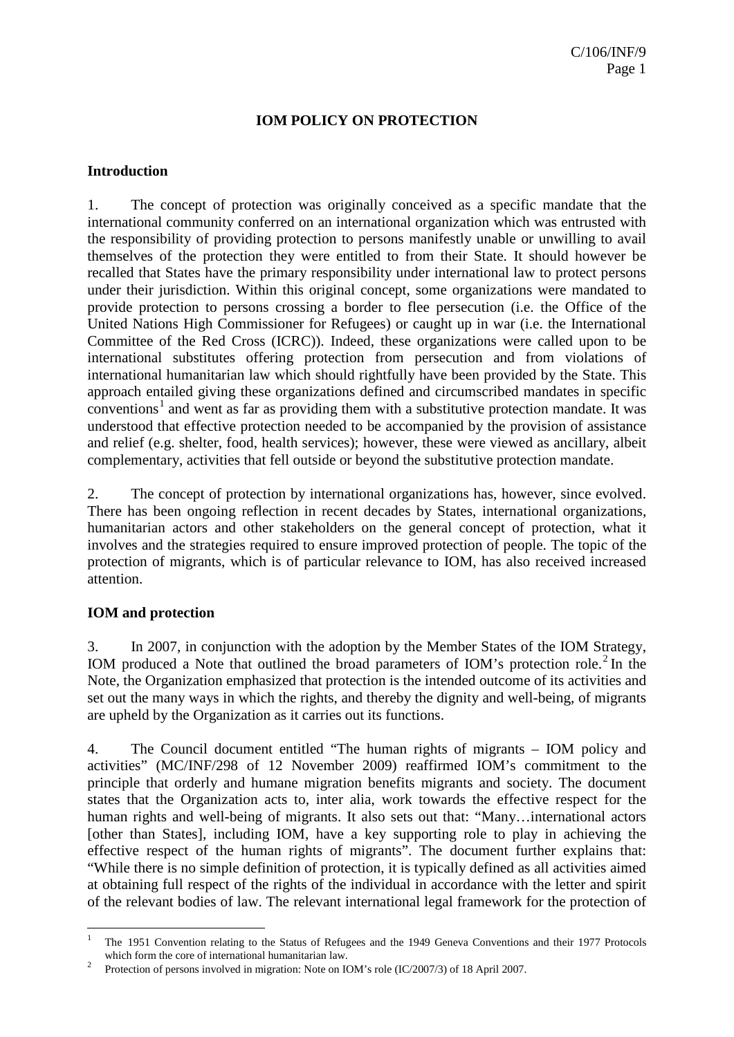#### **Introduction**

1. The concept of protection was originally conceived as a specific mandate that the international community conferred on an international organization which was entrusted with the responsibility of providing protection to persons manifestly unable or unwilling to avail themselves of the protection they were entitled to from their State. It should however be recalled that States have the primary responsibility under international law to protect persons under their jurisdiction. Within this original concept, some organizations were mandated to provide protection to persons crossing a border to flee persecution (i.e. the Office of the United Nations High Commissioner for Refugees) or caught up in war (i.e. the International Committee of the Red Cross (ICRC)). Indeed, these organizations were called upon to be international substitutes offering protection from persecution and from violations of international humanitarian law which should rightfully have been provided by the State. This approach entailed giving these organizations defined and circumscribed mandates in specific  $conventions<sup>1</sup>$  $conventions<sup>1</sup>$  $conventions<sup>1</sup>$  and went as far as providing them with a substitutive protection mandate. It was understood that effective protection needed to be accompanied by the provision of assistance and relief (e.g. shelter, food, health services); however, these were viewed as ancillary, albeit complementary, activities that fell outside or beyond the substitutive protection mandate.

2. The concept of protection by international organizations has, however, since evolved. There has been ongoing reflection in recent decades by States, international organizations, humanitarian actors and other stakeholders on the general concept of protection, what it involves and the strategies required to ensure improved protection of people. The topic of the protection of migrants, which is of particular relevance to IOM, has also received increased attention.

#### **IOM and protection**

3. In 2007, in conjunction with the adoption by the Member States of the IOM Strategy, IOM produced a Note that outlined the broad parameters of IOM's protection role.<sup>[2](#page-2-1)</sup> In the Note, the Organization emphasized that protection is the intended outcome of its activities and set out the many ways in which the rights, and thereby the dignity and well-being, of migrants are upheld by the Organization as it carries out its functions.

4. The Council document entitled "The human rights of migrants – IOM policy and activities" (MC/INF/298 of 12 November 2009) reaffirmed IOM's commitment to the principle that orderly and humane migration benefits migrants and society. The document states that the Organization acts to, inter alia, work towards the effective respect for the human rights and well-being of migrants. It also sets out that: "Many...international actors [other than States], including IOM, have a key supporting role to play in achieving the effective respect of the human rights of migrants". The document further explains that: "While there is no simple definition of protection, it is typically defined as all activities aimed at obtaining full respect of the rights of the individual in accordance with the letter and spirit of the relevant bodies of law. The relevant international legal framework for the protection of

<span id="page-2-0"></span> <sup>1</sup> The 1951 Convention relating to the Status of Refugees and the 1949 Geneva Conventions and their 1977 Protocols which form the core of international humanitarian law.<br>Protection of persons involved in migration: Note on IOM's role (IC/2007/3) of 18 April 2007.

<span id="page-2-1"></span>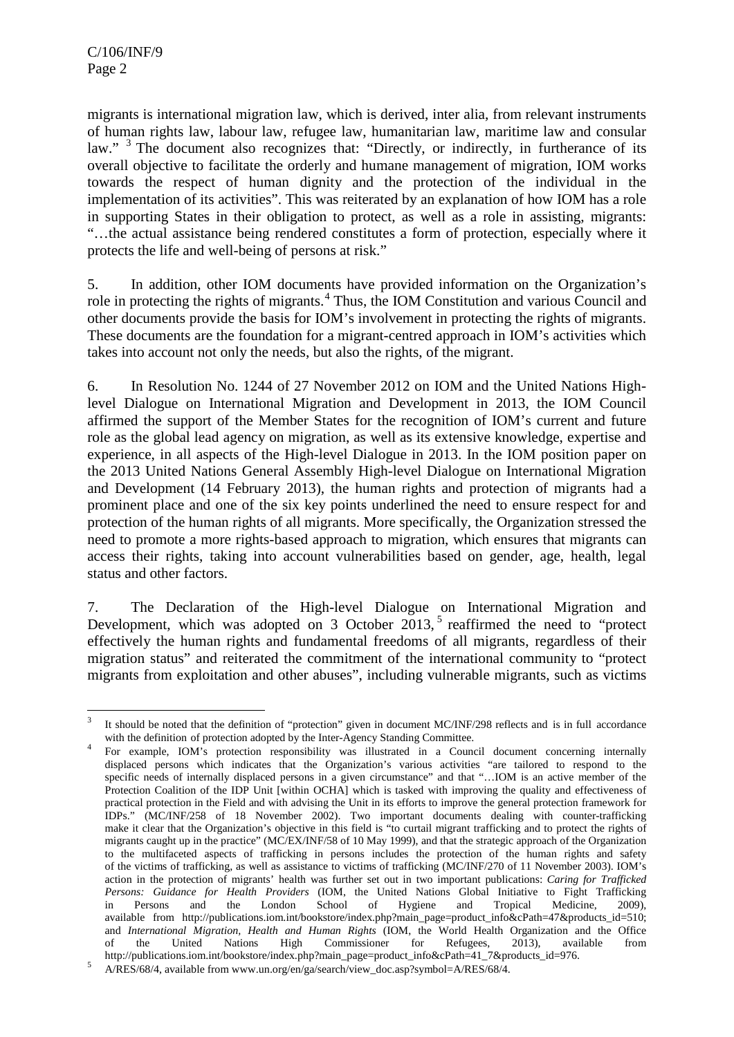migrants is international migration law, which is derived, inter alia, from relevant instruments of human rights law, labour law, refugee law, humanitarian law, maritime law and consular law." <sup>[3](#page-3-0)</sup> The document also recognizes that: "Directly, or indirectly, in furtherance of its overall objective to facilitate the orderly and humane management of migration, IOM works towards the respect of human dignity and the protection of the individual in the implementation of its activities". This was reiterated by an explanation of how IOM has a role in supporting States in their obligation to protect, as well as a role in assisting, migrants: "…the actual assistance being rendered constitutes a form of protection, especially where it protects the life and well-being of persons at risk."

5. In addition, other IOM documents have provided information on the Organization's role in protecting the rights of migrants.<sup>[4](#page-3-1)</sup> Thus, the IOM Constitution and various Council and other documents provide the basis for IOM's involvement in protecting the rights of migrants. These documents are the foundation for a migrant-centred approach in IOM's activities which takes into account not only the needs, but also the rights, of the migrant.

6. In Resolution No. 1244 of 27 November 2012 on IOM and the United Nations Highlevel Dialogue on International Migration and Development in 2013, the IOM Council affirmed the support of the Member States for the recognition of IOM's current and future role as the global lead agency on migration, as well as its extensive knowledge, expertise and experience, in all aspects of the High-level Dialogue in 2013. In the IOM position paper on the 2013 United Nations General Assembly High-level Dialogue on International Migration and Development (14 February 2013), the human rights and protection of migrants had a prominent place and one of the six key points underlined the need to ensure respect for and protection of the human rights of all migrants. More specifically, the Organization stressed the need to promote a more rights-based approach to migration, which ensures that migrants can access their rights, taking into account vulnerabilities based on gender, age, health, legal status and other factors.

7. The Declaration of the High-level Dialogue on International Migration and Development, which was adopted on 3 October  $2013$ ,<sup>[5](#page-3-2)</sup> reaffirmed the need to "protect effectively the human rights and fundamental freedoms of all migrants, regardless of their migration status" and reiterated the commitment of the international community to "protect migrants from exploitation and other abuses", including vulnerable migrants, such as victims

<span id="page-3-0"></span>It should be noted that the definition of "protection" given in document MC/INF/298 reflects and is in full accordance with the definition of protection adopted by the Inter-Agency Standing Committee.

<span id="page-3-1"></span>For example, IOM's protection responsibility was illustrated in a Council document concerning internally displaced persons which indicates that the Organization's various activities "are tailored to respond to the specific needs of internally displaced persons in a given circumstance" and that "…IOM is an active member of the Protection Coalition of the IDP Unit [within OCHA] which is tasked with improving the quality and effectiveness of practical protection in the Field and with advising the Unit in its efforts to improve the general protection framework for IDPs." (MC/INF/258 of 18 November 2002). Two important documents dealing with counter-trafficking make it clear that the Organization's objective in this field is "to curtail migrant trafficking and to protect the rights of migrants caught up in the practice" (MC/EX/INF/58 of 10 May 1999), and that the strategic approach of the Organization to the multifaceted aspects of trafficking in persons includes the protection of the human rights and safety of the victims of trafficking, as well as assistance to victims of trafficking (MC/INF/270 of 11 November 2003). IOM's action in the protection of migrants' health was further set out in two important publications: *Caring for Trafficked Persons: Guidance for Health Providers* (IOM, the United Nations Global Initiative to Fight Trafficking in Persons and the London School of Hygiene and Tropical Medicine, 2009), available from [http://publications.iom.int/bookstore/index.php?main\\_page=product\\_info&cPath=47&products\\_id=510;](http://publications.iom.int/bookstore/index.php?main_page=product_info&cPath=47&products_id=510) and *International Migration, Health and Human Rights* (IOM, the World Health Organization and the Office of the United Nations High Commissioner for Refugees, 2013), available from [http://publications.iom.int/bookstore/index.php?main\\_page=product\\_info&cPath=41\\_7&products\\_id=976.](http://publications.iom.int/bookstore/index.php?main_page=product_info&cPath=41_7&products_id=976)<br>A/RES/68/4, available from www.un.org/en/ga/search/view\_doc.asp?symbol=A/RES/68/4.

<span id="page-3-2"></span>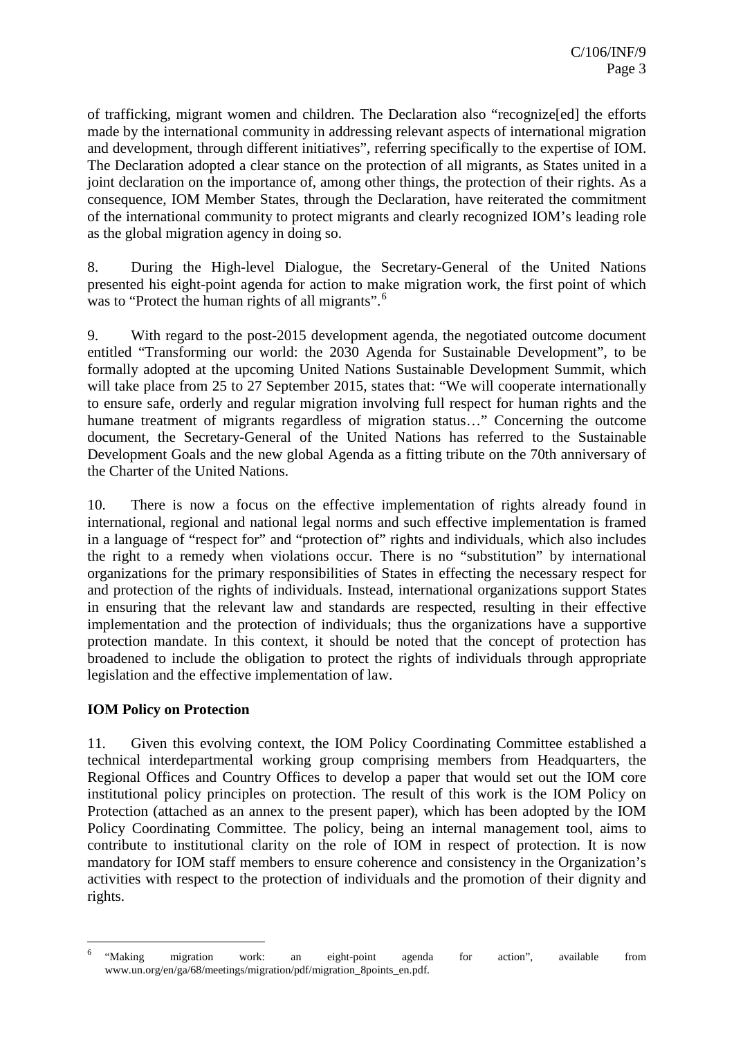of trafficking, migrant women and children. The Declaration also "recognize[ed] the efforts made by the international community in addressing relevant aspects of international migration and development, through different initiatives", referring specifically to the expertise of IOM. The Declaration adopted a clear stance on the protection of all migrants, as States united in a joint declaration on the importance of, among other things, the protection of their rights. As a consequence, IOM Member States, through the Declaration, have reiterated the commitment of the international community to protect migrants and clearly recognized IOM's leading role as the global migration agency in doing so.

8. During the High-level Dialogue, the Secretary-General of the United Nations presented his eight-point agenda for action to make migration work, the first point of which was to "Protect the human rights of all migrants".<sup>[6](#page-4-0)</sup>

9. With regard to the post-2015 development agenda, the negotiated outcome document entitled "Transforming our world: the 2030 Agenda for Sustainable Development", to be formally adopted at the upcoming United Nations Sustainable Development Summit, which will take place from 25 to 27 September 2015, states that: "We will cooperate internationally to ensure safe, orderly and regular migration involving full respect for human rights and the humane treatment of migrants regardless of migration status..." Concerning the outcome document, the Secretary-General of the United Nations has referred to the Sustainable Development Goals and the new global Agenda as a fitting tribute on the 70th anniversary of the Charter of the United Nations.

10. There is now a focus on the effective implementation of rights already found in international, regional and national legal norms and such effective implementation is framed in a language of "respect for" and "protection of" rights and individuals, which also includes the right to a remedy when violations occur. There is no "substitution" by international organizations for the primary responsibilities of States in effecting the necessary respect for and protection of the rights of individuals. Instead, international organizations support States in ensuring that the relevant law and standards are respected, resulting in their effective implementation and the protection of individuals; thus the organizations have a supportive protection mandate. In this context, it should be noted that the concept of protection has broadened to include the obligation to protect the rights of individuals through appropriate legislation and the effective implementation of law.

#### **IOM Policy on Protection**

11. Given this evolving context, the IOM Policy Coordinating Committee established a technical interdepartmental working group comprising members from Headquarters, the Regional Offices and Country Offices to develop a paper that would set out the IOM core institutional policy principles on protection. The result of this work is the IOM Policy on Protection (attached as an annex to the present paper), which has been adopted by the IOM Policy Coordinating Committee. The policy, being an internal management tool, aims to contribute to institutional clarity on the role of IOM in respect of protection. It is now mandatory for IOM staff members to ensure coherence and consistency in the Organization's activities with respect to the protection of individuals and the promotion of their dignity and rights.

<span id="page-4-0"></span>work:<br>All the migration work: an eight-point agenda for action", available from<br>All the migration work: an eight-point agenda for action", available from www.un.org/en/ga/68/meetings/migration/pdf/migration\_8points\_en.pdf.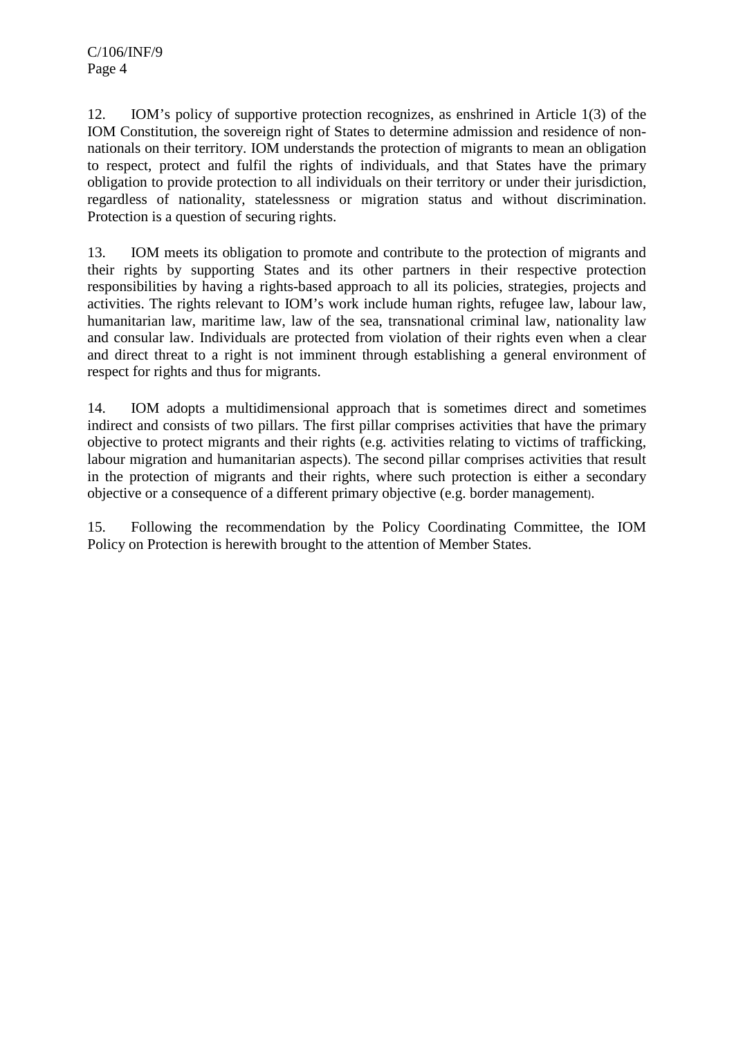12. IOM's policy of supportive protection recognizes, as enshrined in Article 1(3) of the IOM Constitution, the sovereign right of States to determine admission and residence of nonnationals on their territory. IOM understands the protection of migrants to mean an obligation to respect, protect and fulfil the rights of individuals, and that States have the primary obligation to provide protection to all individuals on their territory or under their jurisdiction, regardless of nationality, statelessness or migration status and without discrimination. Protection is a question of securing rights.

13. IOM meets its obligation to promote and contribute to the protection of migrants and their rights by supporting States and its other partners in their respective protection responsibilities by having a rights-based approach to all its policies, strategies, projects and activities. The rights relevant to IOM's work include human rights, refugee law, labour law, humanitarian law, maritime law, law of the sea, transnational criminal law, nationality law and consular law. Individuals are protected from violation of their rights even when a clear and direct threat to a right is not imminent through establishing a general environment of respect for rights and thus for migrants.

14. IOM adopts a multidimensional approach that is sometimes direct and sometimes indirect and consists of two pillars. The first pillar comprises activities that have the primary objective to protect migrants and their rights (e.g. activities relating to victims of trafficking, labour migration and humanitarian aspects). The second pillar comprises activities that result in the protection of migrants and their rights, where such protection is either a secondary objective or a consequence of a different primary objective (e.g. border management).

15. Following the recommendation by the Policy Coordinating Committee, the IOM Policy on Protection is herewith brought to the attention of Member States.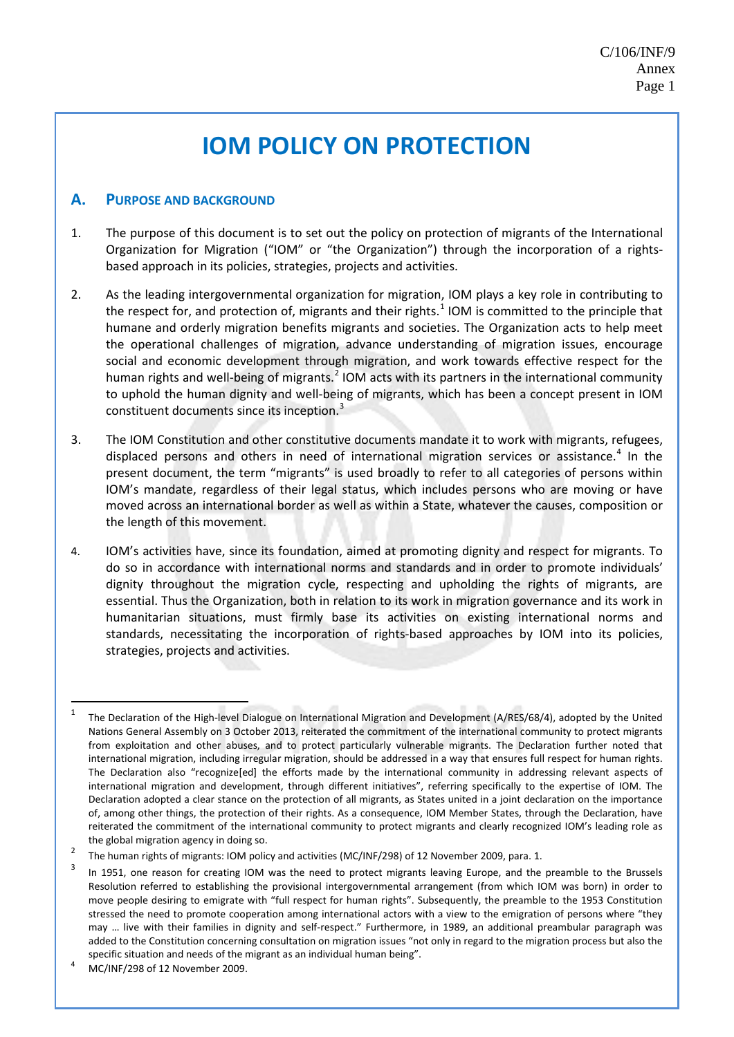#### **A. PURPOSE AND BACKGROUND**

- 1. The purpose of this document is to set out the policy on protection of migrants of the International Organization for Migration ("IOM" or "the Organization") through the incorporation of a rightsbased approach in its policies, strategies, projects and activities.
- 2. As the leading intergovernmental organization for migration, IOM plays a key role in contributing to the respect for, and protection of, migrants and their rights.<sup>[1](#page-6-0)</sup> IOM is committed to the principle that humane and orderly migration benefits migrants and societies. The Organization acts to help meet the operational challenges of migration, advance understanding of migration issues, encourage social and economic development through migration, and work towards effective respect for the human rights and well-being of migrants.<sup>[2](#page-6-1)</sup> IOM acts with its partners in the international community to uphold the human dignity and well-being of migrants, which has been a concept present in IOM constituent documents since its inception.<sup>[3](#page-6-2)</sup>
- 3. The IOM Constitution and other constitutive documents mandate it to work with migrants, refugees, displaced persons and others in need of international migration services or assistance.<sup>[4](#page-6-3)</sup> In the present document, the term "migrants" is used broadly to refer to all categories of persons within IOM's mandate, regardless of their legal status, which includes persons who are moving or have moved across an international border as well as within a State, whatever the causes, composition or the length of this movement.
- 4. IOM's activities have, since its foundation, aimed at promoting dignity and respect for migrants. To do so in accordance with international norms and standards and in order to promote individuals' dignity throughout the migration cycle, respecting and upholding the rights of migrants, are essential. Thus the Organization, both in relation to its work in migration governance and its work in humanitarian situations, must firmly base its activities on existing international norms and standards, necessitating the incorporation of rights-based approaches by IOM into its policies, strategies, projects and activities.

<span id="page-6-0"></span><sup>&</sup>lt;sup>1</sup> The Declaration of the High-level Dialogue on International Migration and Development (A/RES/68/4), adopted by the United Nations General Assembly on 3 October 2013, reiterated the commitment of the international community to protect migrants from exploitation and other abuses, and to protect particularly vulnerable migrants. The Declaration further noted that international migration, including irregular migration, should be addressed in a way that ensures full respect for human rights. The Declaration also "recognize[ed] the efforts made by the international community in addressing relevant aspects of international migration and development, through different initiatives", referring specifically to the expertise of IOM. The Declaration adopted a clear stance on the protection of all migrants, as States united in a joint declaration on the importance of, among other things, the protection of their rights. As a consequence, IOM Member States, through the Declaration, have reiterated the commitment of the international community to protect migrants and clearly recognized IOM's leading role as the global migration agency in doing so.

<span id="page-6-1"></span><sup>&</sup>lt;sup>2</sup> The human rights of migrants: IOM policy and activities (MC/INF/298) of 12 November 2009, para. 1.

<span id="page-6-2"></span>In 1951, one reason for creating IOM was the need to protect migrants leaving Europe, and the preamble to the Brussels Resolution referred to establishing the provisional intergovernmental arrangement (from which IOM was born) in order to move people desiring to emigrate with "full respect for human rights". Subsequently, the preamble to the 1953 Constitution stressed the need to promote cooperation among international actors with a view to the emigration of persons where "they may … live with their families in dignity and self-respect." Furthermore, in 1989, an additional preambular paragraph was added to the Constitution concerning consultation on migration issues "not only in regard to the migration process but also the specific situation and needs of the migrant as an individual human being".<br>4 MC/INF/298 of 12 November 2009.

<span id="page-6-3"></span>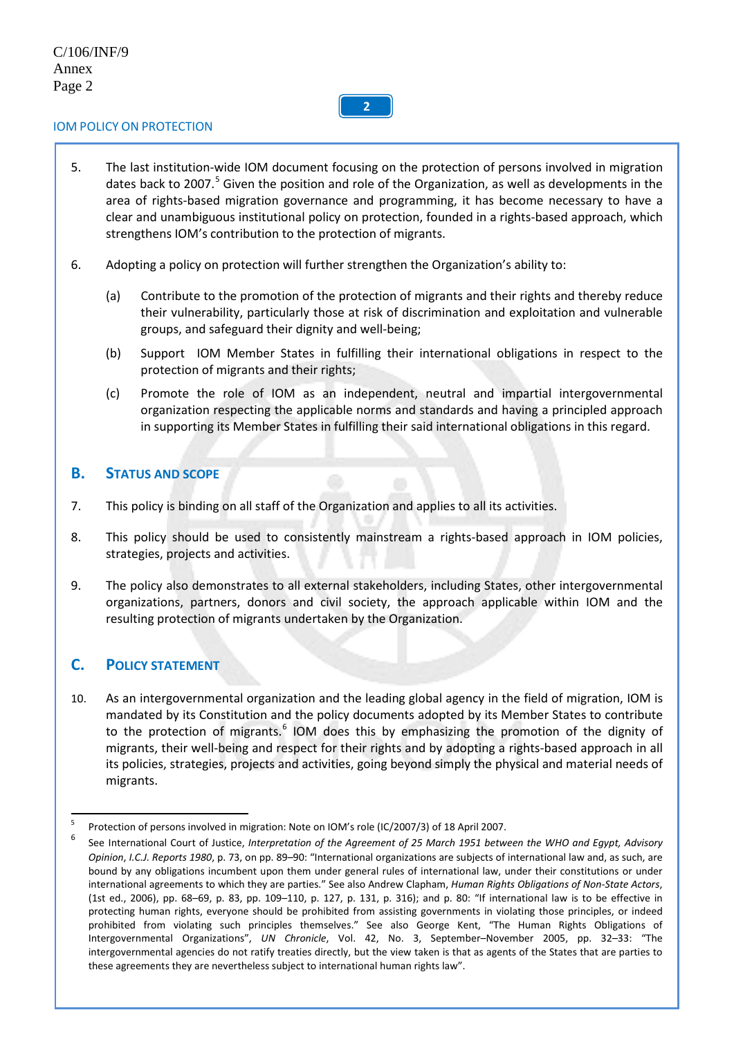## **2**

#### IOM POLICY ON PROTECTION

- 5. The last institution-wide IOM document focusing on the protection of persons involved in migration dates back to 2007.<sup>[5](#page-7-0)</sup> Given the position and role of the Organization, as well as developments in the area of rights-based migration governance and programming, it has become necessary to have a clear and unambiguous institutional policy on protection, founded in a rights-based approach, which strengthens IOM's contribution to the protection of migrants.
- 6. Adopting a policy on protection will further strengthen the Organization's ability to:
	- (a) Contribute to the promotion of the protection of migrants and their rights and thereby reduce their vulnerability, particularly those at risk of discrimination and exploitation and vulnerable groups, and safeguard their dignity and well-being;
	- (b) Support IOM Member States in fulfilling their international obligations in respect to the protection of migrants and their rights;
	- (c) Promote the role of IOM as an independent, neutral and impartial intergovernmental organization respecting the applicable norms and standards and having a principled approach in supporting its Member States in fulfilling their said international obligations in this regard.

#### **B. STATUS AND SCOPE**

- 7. This policy is binding on all staff of the Organization and applies to all its activities.
- 8. This policy should be used to consistently mainstream a rights-based approach in IOM policies, strategies, projects and activities.
- 9. The policy also demonstrates to all external stakeholders, including States, other intergovernmental organizations, partners, donors and civil society, the approach applicable within IOM and the resulting protection of migrants undertaken by the Organization.

#### **C. POLICY STATEMENT**

10. As an intergovernmental organization and the leading global agency in the field of migration, IOM is mandated by its Constitution and the policy documents adopted by its Member States to contribute to the protection of migrants.<sup>[6](#page-7-1)</sup> IOM does this by emphasizing the promotion of the dignity of migrants, their well-being and respect for their rights and by adopting a rights-based approach in all its policies, strategies, projects and activities, going beyond simply the physical and material needs of migrants.

<span id="page-7-0"></span> <sup>5</sup> Protection of persons involved in migration: Note on IOM's role (IC/2007/3) of 18 April 2007.

<span id="page-7-1"></span><sup>6</sup> See International Court of Justice, *Interpretation of the Agreement of 25 March 1951 between the WHO and Egypt, Advisory Opinion*, *I.C.J. Reports 1980*, p. 73, on pp. 89–90: "International organizations are subjects of international law and, as such, are bound by any obligations incumbent upon them under general rules of international law, under their constitutions or under international agreements to which they are parties." See also Andrew Clapham, *Human Rights Obligations of Non-State Actors*, (1st ed., 2006), pp. 68–69, p. 83, pp. 109–110, p. 127, p. 131, p. 316); and p. 80: "If international law is to be effective in protecting human rights, everyone should be prohibited from assisting governments in violating those principles, or indeed prohibited from violating such principles themselves." See also George Kent, "The Human Rights Obligations of Intergovernmental Organizations", *UN Chronicle*, Vol. 42, No. 3, September–November 2005, pp. 32–33: "The intergovernmental agencies do not ratify treaties directly, but the view taken is that as agents of the States that are parties to these agreements they are nevertheless subject to international human rights law".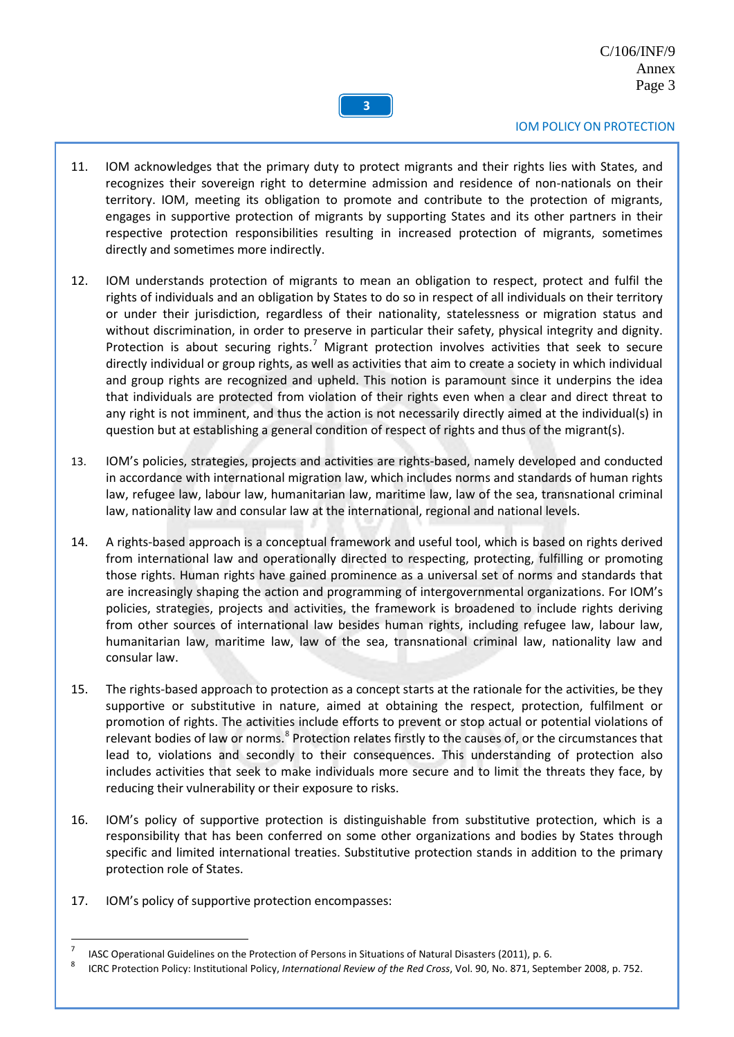

- 11. IOM acknowledges that the primary duty to protect migrants and their rights lies with States, and recognizes their sovereign right to determine admission and residence of non-nationals on their territory. IOM, meeting its obligation to promote and contribute to the protection of migrants, engages in supportive protection of migrants by supporting States and its other partners in their respective protection responsibilities resulting in increased protection of migrants, sometimes directly and sometimes more indirectly.
- 12. IOM understands protection of migrants to mean an obligation to respect, protect and fulfil the rights of individuals and an obligation by States to do so in respect of all individuals on their territory or under their jurisdiction, regardless of their nationality, statelessness or migration status and without discrimination, in order to preserve in particular their safety, physical integrity and dignity. Protection is about securing rights.<sup>[7](#page-8-0)</sup> Migrant protection involves activities that seek to secure directly individual or group rights, as well as activities that aim to create a society in which individual and group rights are recognized and upheld. This notion is paramount since it underpins the idea that individuals are protected from violation of their rights even when a clear and direct threat to any right is not imminent, and thus the action is not necessarily directly aimed at the individual(s) in question but at establishing a general condition of respect of rights and thus of the migrant(s).
- 13. IOM's policies, strategies, projects and activities are rights-based, namely developed and conducted in accordance with international migration law, which includes norms and standards of human rights law, refugee law, labour law, humanitarian law, maritime law, law of the sea, transnational criminal law, nationality law and consular law at the international, regional and national levels.
- 14. A rights-based approach is a conceptual framework and useful tool, which is based on rights derived from international law and operationally directed to respecting, protecting, fulfilling or promoting those rights. Human rights have gained prominence as a universal set of norms and standards that are increasingly shaping the action and programming of intergovernmental organizations. For IOM's policies, strategies, projects and activities, the framework is broadened to include rights deriving from other sources of international law besides human rights, including refugee law, labour law, humanitarian law, maritime law, law of the sea, transnational criminal law, nationality law and consular law.
- 15. The rights-based approach to protection as a concept starts at the rationale for the activities, be they supportive or substitutive in nature, aimed at obtaining the respect, protection, fulfilment or promotion of rights. The activities include efforts to prevent or stop actual or potential violations of relevant bodies of law or norms.<sup>[8](#page-8-1)</sup> Protection relates firstly to the causes of, or the circumstances that lead to, violations and secondly to their consequences. This understanding of protection also includes activities that seek to make individuals more secure and to limit the threats they face, by reducing their vulnerability or their exposure to risks.
- 16. IOM's policy of supportive protection is distinguishable from substitutive protection, which is a responsibility that has been conferred on some other organizations and bodies by States through specific and limited international treaties. Substitutive protection stands in addition to the primary protection role of States.
- 17. IOM's policy of supportive protection encompasses:

<span id="page-8-1"></span><span id="page-8-0"></span>IASC Operational Guidelines on the Protection of Persons in Situations of Natural Disasters (2011), p. 6.<br><sup>8</sup> ISBS Pertention Pelicu Institutional Pelicu International Persons of the Perfection Val. 20, Na. 274, Sept.

<sup>8</sup> ICRC Protection Policy: Institutional Policy, *International Review of the Red Cross*, Vol. 90, No. 871, September 2008, p. 752.